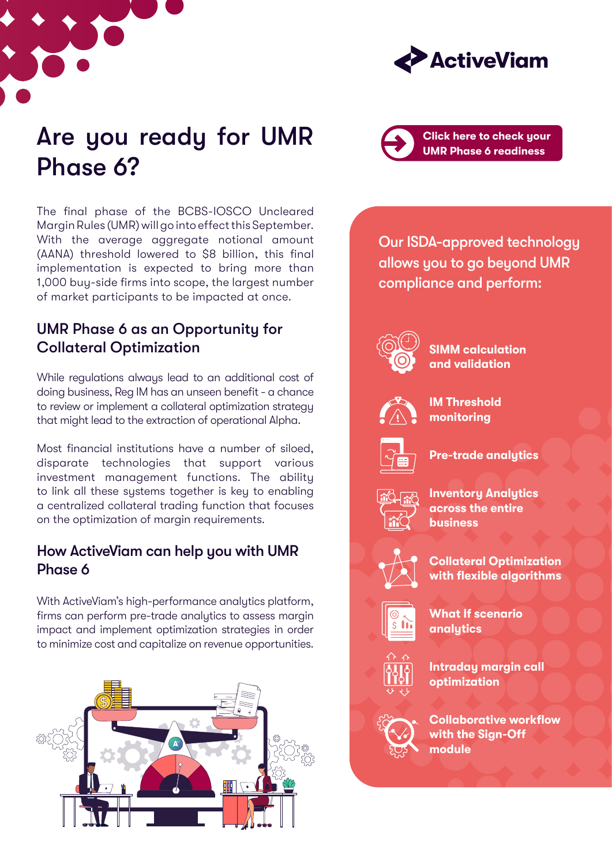



## Are you ready for UMR Phase 6?

The final phase of the BCBS-IOSCO Uncleared Margin Rules (UMR) will go into effect this September. With the average aggregate notional amount (AANA) threshold lowered to \$8 billion, this final implementation is expected to bring more than 1,000 buy-side firms into scope, the largest number of market participants to be impacted at once.

## UMR Phase 6 as an Opportunity for Collateral Optimization

While regulations always lead to an additional cost of doing business, Reg IM has an unseen benefit - a chance to review or implement a collateral optimization strategy that might lead to the extraction of operational Alpha.

Most financial institutions have a number of siloed, disparate technologies that support various investment management functions. The ability to link all these systems together is key to enabling a centralized collateral trading function that focuses on the optimization of margin requirements.

### How ActiveViam can help you with UMR Phase 6

With ActiveViam's high-performance analytics platform, firms can perform pre-trade analytics to assess margin impact and implement optimization strategies in order to minimize cost and capitalize on revenue opportunities.





Our ISDA-approved technology allows you to go beyond UMR compliance and perform:



**SIMM calculation and validation**



**IM Threshold monitoring**



**Pre-trade analytics**



**Inventory Analytics across the entire business**



**Collateral Optimization with flexible algorithms** 



**What If scenario analytics**



**Intraday margin call optimization**



**Collaborative workflow with the Sign-Off module**